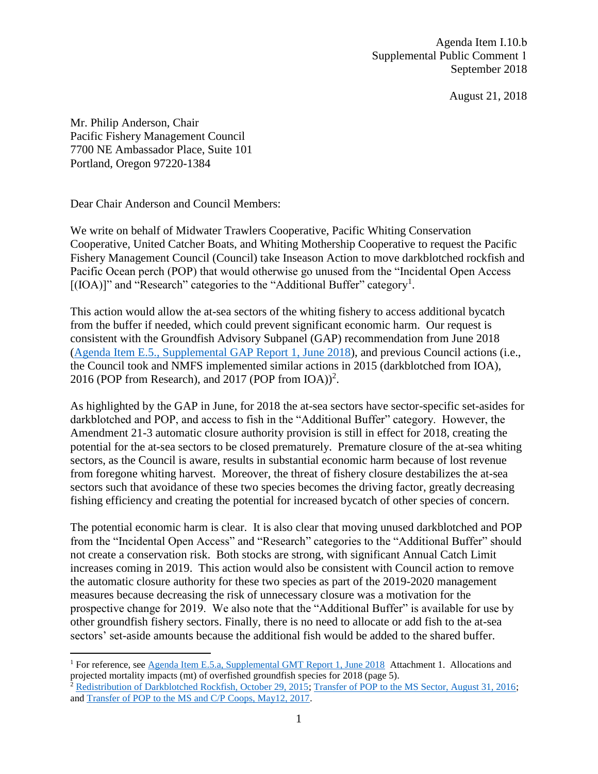Agenda Item I.10.b Supplemental Public Comment 1 September 2018

August 21, 2018

Mr. Philip Anderson, Chair Pacific Fishery Management Council 7700 NE Ambassador Place, Suite 101 Portland, Oregon 97220-1384

Dear Chair Anderson and Council Members:

We write on behalf of Midwater Trawlers Cooperative, Pacific Whiting Conservation Cooperative, United Catcher Boats, and Whiting Mothership Cooperative to request the Pacific Fishery Management Council (Council) take Inseason Action to move darkblotched rockfish and Pacific Ocean perch (POP) that would otherwise go unused from the "Incidental Open Access  $[(IOA)]$ " and "Research" categories to the "Additional Buffer" category<sup>1</sup>.

This action would allow the at-sea sectors of the whiting fishery to access additional bycatch from the buffer if needed, which could prevent significant economic harm. Our request is consistent with the Groundfish Advisory Subpanel (GAP) recommendation from June 2018 [\(Agenda Item E.5., Supplemental GAP Report 1, June 2018\)](https://www.pcouncil.org/wp-content/uploads/2018/06/E5a_Supp_GAP_Rpt1_JUN2018BB.pdf), and previous Council actions (i.e., the Council took and NMFS implemented similar actions in 2015 (darkblotched from IOA), 2016 (POP from Research), and 2017 (POP from  $IOA$ ))<sup>2</sup>.

As highlighted by the GAP in June, for 2018 the at-sea sectors have sector-specific set-asides for darkblotched and POP, and access to fish in the "Additional Buffer" category. However, the Amendment 21-3 automatic closure authority provision is still in effect for 2018, creating the potential for the at-sea sectors to be closed prematurely. Premature closure of the at-sea whiting sectors, as the Council is aware, results in substantial economic harm because of lost revenue from foregone whiting harvest. Moreover, the threat of fishery closure destabilizes the at-sea sectors such that avoidance of these two species becomes the driving factor, greatly decreasing fishing efficiency and creating the potential for increased bycatch of other species of concern.

The potential economic harm is clear. It is also clear that moving unused darkblotched and POP from the "Incidental Open Access" and "Research" categories to the "Additional Buffer" should not create a conservation risk. Both stocks are strong, with significant Annual Catch Limit increases coming in 2019. This action would also be consistent with Council action to remove the automatic closure authority for these two species as part of the 2019-2020 management measures because decreasing the risk of unnecessary closure was a motivation for the prospective change for 2019. We also note that the "Additional Buffer" is available for use by other groundfish fishery sectors. Finally, there is no need to allocate or add fish to the at-sea sectors' set-aside amounts because the additional fish would be added to the shared buffer.

<sup>&</sup>lt;sup>1</sup> For reference, see [Agenda Item E.5.a, Supplemental GMT Report 1, June 2018](https://www.pcouncil.org/wp-content/uploads/2018/06/E5a_Supp_GMT_Rpt1_JUN2018BB_9amVersion.pdf) Attachment 1. Allocations and projected mortality impacts (mt) of overfished groundfish species for 2018 (page 5). <sup>2</sup> [Redistribution of Darkblotched Rockfish, October 29, 2015;](http://www.westcoast.fisheries.noaa.gov/publications/fishery_management/groundfish/public_notices/nmfs-sea-15-24.pdf) [Transfer of POP to the MS Sector, August 31, 2016;](http://www.westcoast.fisheries.noaa.gov/publications/fishery_management/groundfish/public_notices/nmfs-sea-16-18.pdf) and [Transfer of POP to the MS and C/P Coops, May12, 2017.](http://www.westcoast.fisheries.noaa.gov/publications/fishery_management/groundfish/public_notices/nmfs-sea-17-11.pdf)